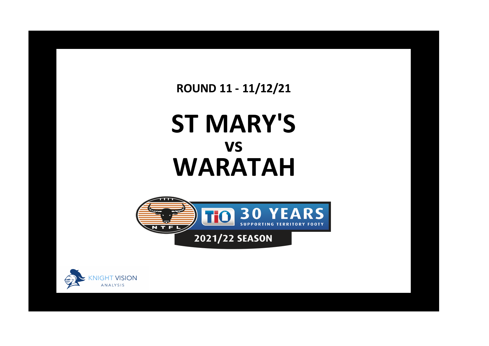**ROUND 11 - 11/12/21**

## **ST MARY'S WARATAH vs**



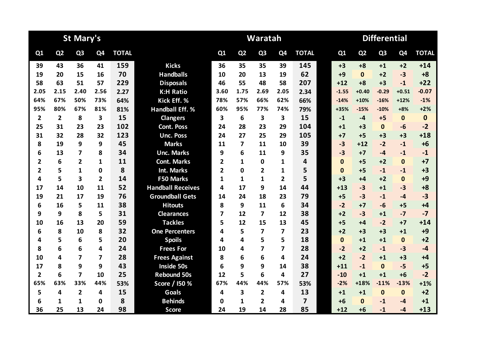|                |                | <b>St Mary's</b>        |                |              |                          | <b>Differential</b><br>Waratah |                         |                         |                |                         |  |              |                |                |                |              |
|----------------|----------------|-------------------------|----------------|--------------|--------------------------|--------------------------------|-------------------------|-------------------------|----------------|-------------------------|--|--------------|----------------|----------------|----------------|--------------|
| Q1             | Q <sub>2</sub> | Q <sub>3</sub>          | Q4             | <b>TOTAL</b> |                          | Q1                             | Q <sub>2</sub>          | Q <sub>3</sub>          | Q <sub>4</sub> | <b>TOTAL</b>            |  | Q1           | Q <sub>2</sub> | Q <sub>3</sub> | Q <sub>4</sub> | <b>TOTAL</b> |
| 39             | 43             | 36                      | 41             | 159          | <b>Kicks</b>             | 36                             | 35                      | 35                      | 39             | 145                     |  | $+3$         | $+8$           | $+1$           | $+2$           | $+14$        |
| 19             | 20             | 15                      | 16             | 70           | <b>Handballs</b>         | 10                             | 20                      | 13                      | 19             | 62                      |  | $+9$         | $\mathbf{0}$   | $+2$           | $-3$           | $+8$         |
| 58             | 63             | 51                      | 57             | 229          | <b>Disposals</b>         | 46                             | 55                      | 48                      | 58             | 207                     |  | $+12$        | $+8$           | $+3$           | $-1$           | $+22$        |
| 2.05           | 2.15           | 2.40                    | 2.56           | 2.27         | <b>K:H Ratio</b>         | 3.60                           | 1.75                    | 2.69                    | 2.05           | 2.34                    |  | $-1.55$      | $+0.40$        | $-0.29$        | $+0.51$        | $-0.07$      |
| 64%            | 67%            | 50%                     | 73%            | 64%          | Kick Eff. %              | 78%                            | 57%                     | 66%                     | 62%            | 66%                     |  | $-14%$       | $+10%$         | $-16%$         | $+12%$         | $-1%$        |
| 95%            | 80%            | 67%                     | 81%            | 81%          | <b>Handball Eff. %</b>   | 60%                            | 95%                     | 77%                     | 74%            | 79%                     |  | +35%         | $-15%$         | $-10%$         | $+8%$          | $+2%$        |
| $\overline{2}$ | $\overline{2}$ | 8                       | 3              | 15           | <b>Clangers</b>          | $\overline{\mathbf{3}}$        | 6                       | 3                       | 3              | 15                      |  | $-1$         | $-4$           | $+5$           | $\mathbf 0$    | $\mathbf 0$  |
| 25             | 31             | 23                      | 23             | 102          | <b>Cont. Poss</b>        | 24                             | 28                      | 23                      | 29             | 104                     |  | $+1$         | $+3$           | $\mathbf{0}$   | $-6$           | $-2$         |
| 31             | 32             | 28                      | 32             | 123          | <b>Unc. Poss</b>         | 24                             | 27                      | 25                      | 29             | 105                     |  | $+7$         | $+5$           | $+3$           | $+3$           | $+18$        |
| 8              | 19             | 9                       | 9              | 45           | <b>Marks</b>             | 11                             | $\overline{\mathbf{z}}$ | 11                      | 10             | 39                      |  | $-3$         | $+12$          | $-2$           | $-1$           | $+6$         |
| 6              | 13             | 7                       | 8              | 34           | <b>Unc. Marks</b>        | 9                              | 6                       | 11                      | 9              | 35                      |  | $-3$         | $+7$           | $-4$           | $-1$           | $-1$         |
| $\mathbf{2}$   | 6              | $\overline{2}$          | 1              | 11           | <b>Cont. Marks</b>       | 2                              | 1                       | 0                       | 1              | $\overline{\mathbf{4}}$ |  | $\mathbf{0}$ | $+5$           | $+2$           | $\mathbf{0}$   | $+7$         |
| $\overline{2}$ | 5              | 1                       | $\mathbf{0}$   | 8            | <b>Int. Marks</b>        | $\overline{2}$                 | $\Omega$                | 2                       | 1              | 5                       |  | $\Omega$     | $+5$           | $-1$           | $-1$           | $+3$         |
| 4              | 5              | $\overline{\mathbf{3}}$ | $\overline{2}$ | 14           | <b>F50 Marks</b>         | 1                              | 1                       | 1                       | $\overline{2}$ | 5                       |  | $+3$         | $+4$           | $+2$           | $\mathbf{0}$   | $+9$         |
| 17             | 14             | 10                      | 11             | 52           | <b>Handball Receives</b> | 4                              | 17                      | 9                       | 14             | 44                      |  | $+13$        | $-3$           | $+1$           | $-3$           | $+8$         |
| 19             | 21             | 17                      | 19             | 76           | <b>Groundball Gets</b>   | 14                             | 24                      | 18                      | 23             | 79                      |  | $+5$         | $-3$           | $-1$           | $-4$           | $-3$         |
| 6              | 16             | 5                       | 11             | 38           | <b>Hitouts</b>           | 8                              | 9                       | 11                      | 6              | 34                      |  | $-2$         | $+7$           | $-6$           | $+5$           | $+4$         |
| 9              | 9              | 8                       | 5              | 31           | <b>Clearances</b>        | 7                              | 12                      | 7                       | 12             | 38                      |  | $+2$         | $-3$           | $+1$           | $-7$           | $-7$         |
| 10             | 16             | 13                      | 20             | 59           | <b>Tackles</b>           | 5                              | 12                      | 15                      | 13             | 45                      |  | $+5$         | $+4$           | $-2$           | $+7$           | $+14$        |
| 6              | 8              | 10                      | 8              | 32           | <b>One Percenters</b>    | 4                              | 5                       | 7                       | 7              | 23                      |  | $+2$         | $+3$           | $+3$           | $+1$           | $+9$         |
| 4              | 5              | 6                       | 5              | 20           | <b>Spoils</b>            | 4                              | 4                       | 5                       | 5              | 18                      |  | $\mathbf{0}$ | $+1$           | $+1$           | $\mathbf{0}$   | $+2$         |
| 8              | 6              | 6                       | 4              | 24           | <b>Frees For</b>         | 10                             | 4                       | 7                       | 7              | 28                      |  | $-2$         | $+2$           | $-1$           | $-3$           | $-4$         |
| 10             | 4              | $\overline{7}$          | 7              | 28           | <b>Frees Against</b>     | 8                              | 6                       | 6                       | 4              | 24                      |  | $+2$         | $-2$           | $+1$           | $+3$           | $+4$         |
| 17             | 8              | 9                       | 9              | 43           | Inside 50s               | 6                              | 9                       | 9                       | 14             | 38                      |  | $+11$        | $-1$           | $\mathbf{0}$   | $-5$           | $+5$         |
| $\overline{2}$ | 6              | $\overline{\mathbf{z}}$ | 10             | 25           | <b>Rebound 50s</b>       | 12                             | 5                       | 6                       | 4              | 27                      |  | $-10$        | $+1$           | $+1$           | $+6$           | $-2$         |
| 65%            | 63%            | 33%                     | 44%            | 53%          | Score / I50 %            | 67%                            | 44%                     | 44%                     | 57%            | 53%                     |  | $-2%$        | +18%           | $-11%$         | $-13%$         | $+1%$        |
| 5              | 4              | $\overline{2}$          | 4              | 15           | Goals                    | 4                              | 3                       | $\overline{\mathbf{2}}$ | 4              | 13                      |  | $+1$         | $+1$           | $\mathbf{0}$   | $\mathbf{0}$   | $+2$         |
| 6              | 1              | 1                       | 0              | 8            | <b>Behinds</b>           | 0                              | $\mathbf{1}$            | $\mathbf{2}$            | 4              | 7                       |  | $+6$         | $\mathbf{0}$   | $-1$           | -4             | $+1$         |
| 36             | 25             | 13                      | 24             | 98           | <b>Score</b>             | 24                             | 19                      | 14                      | 28             | 85                      |  | $+12$        | $+6$           | $-1$           | $-4$           | $+13$        |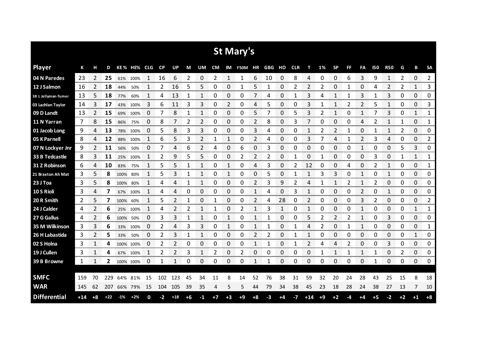|                     |       |                |       |        |             |              |             |       |    |    |      |      | <b>St Mary's</b> |      |        |               |            |              |      |           |     |    |            |                        |      |             |                        |
|---------------------|-------|----------------|-------|--------|-------------|--------------|-------------|-------|----|----|------|------|------------------|------|--------|---------------|------------|--------------|------|-----------|-----|----|------------|------------------------|------|-------------|------------------------|
| <b>Player</b>       | К     | н              | D     |        | KE% HE% CLG |              | <b>CP</b>   | UP    | M  | UM | CM   |      | IM F50M HR       |      | GBG HO |               | <b>CLR</b> | т            | 1%   | <b>SP</b> | FF. | FA | <b>150</b> | <b>R50</b>             | G    | В           | SA                     |
| 04 N Paredes        | 23    | 2              | 25    | 61%    | 100%        | 1            | 16          | 6     | 2  | 0  | 2    | 1    | 1                | 6    | 10     | 0             | 8          | 4            | 0    | 0         | 6   | 3  | 9          | 1                      | 2    | 0           | $\overline{2}$<br>     |
| 12 J Salmon         | 16    | 2              | 18    | 44%    | 50%         |              | 2           | 16    | 5  | 5  | 0    | 0    |                  | 5    |        | 0             | 2          |              |      | 0         |     | 0  | 4          | 2                      | 2    | 1           | 3                      |
| 38 L Jellyman-Tumer | 13    | 5              | 18    | 77%    | 60%         | 1            | 4           | 13    | 1  | 1  | 0    | 0    | 0                | 7    | 4      | 0             | 1          | 3            | 4    | 1         |     | 3  |            | 3                      | 0    | 0           | 0                      |
| 03 Lachlan Taylor   | 14    | 3              | 17    | 43%    | 100%        | 3            | 6           | 11    | 3  | 3  | 0    | 2    | 0                | 4    | 5      | 0             | 0          | 3            | 1    | 1         | 2   | 2  | 5          | 1                      | 0    | 0           | 3                      |
| 09 D Landt          | 13    | $\overline{2}$ | 15    | 69%    | 100%        | 0            | 7           | 8     | 1  | 1  | 0    | 0    | 0                | 5    | 7      | 0             | 5          | 3            | 2    | 1         | 0   | 1  | 7          | 3                      | 0    | 1           | 1                      |
| 11 N Yarran         | 7     | 8              | 15    | 86%    | 75%         | 0            | 8           | 7     | 2  | 2  | 0    | 0    | 0                | 2    | 8      | 0             | 3          | 7            | 0    | 0         | 0   | 4  | 2          | 1                      | 1    | 0           | 1                      |
| 01 Jacob Long       | 9     | 4              | 13    | 78%    | 100%        | 0            | 5           | 8     | 3  | 3  | 0    | 0    | 0                | 3    | 4      | 0             | 0          | 1            | 2    | 2         | 1   | 0  | 1          | 1                      | 2    | 0           | 0                      |
| 05 K Parnell        | 8     | 4              | 12    | 88%    | 100%        | 1            | 6           | 5     | 3  | 2  | 1    | 1    | 0                | 2    | 4      | 0             | 0          | 3            |      | 4         | 1   | 2  | 3          | 4                      | 0    | 0           | 2                      |
| 07 N Lockyer Jnr    | 9     | 2              | 11    | 56%    | 50%         | 0            | 7           | 4     | 6  | 2  | 4    | 0    | 6                | 0    | 3      | 0             | 0          | 0            | 0    | 0         | 0   | 1  | 0          | 0                      | 5    | 3           | 0                      |
| 33 B Tedcastle      | 8     | 3              | 11    | 25%    | 100%        | 1            | 2           | 9     | 5  | 5  | 0    | 0    | 2                | 2    | 2      | 0             | 1          | 0            | 1    | 0         | 0   | 0  | 3          | 0                      | 1    | 1           | 1                      |
| 31 Z Robinson       | 6     | 4              | 10    | 83%    | 75%         | 1            | 5           | 5     | 1  | 1  | 0    | 1    | 0                | 4    | 3      | 0             | 2          | 12           | 0    | 0         | 4   | 0  | 2          | 1                      | 0    | 0           | 1                      |
| 21 Braxton Ah Mat   | 3     | 5              | 8     | 100%   | 80%         | 1            | 5           | 3     | 1  | 1  | 0    | 1    | 0                | 0    | 5      | 0             |            | 1            | 3    | 3         | 0   | 1  | 0          | 1                      | 0    | 0           | 0                      |
| 23 J Toa            | 3     | 5              | 8     | 100%   | 80%         | 1            | 4           | 4     | 1  | 1  | 0    | 0    | 0                | 2    | 3      | 9             | 2          | 4            | 1    | 1         | 2   | 1  | 2          | 0                      | 0    | 0           | 0                      |
| 10 S Rioli          | 3     | 4              | 7     | 67%    | 100%        |              | 4           | 4     | 0  | 0  | 0    | 0    | 0                | 1    | 4      | 0             | 3          | 1            | 0    | 0         | 0   | 2  | 0          | 1                      | 0    | 0           | 0                      |
| 20 R Smith          | 2     | 5              | 7     | 100%   | 60%         | 1<br>na ma   | 5           | 2     | 1  | 0  | 1    | 0    | 0                | 2    | 4      | 28<br>an mara | 0          | 2<br>www.com | 0    | 0         | 0   | 3  | 2          | 0<br>a sa san          | 0    | 0<br>on men | 2<br><b>STATISTICS</b> |
| 24 J Calder         | 4     |                | 6     | 25%    | 100%        |              | 4           |       | 2  | 1  |      | 0    | 2                |      | 3      | 1             | O          | 1            | 0    | 0         | 0   |    | O          | 0                      | 0    | 1           | 1<br>mmmmm             |
| 27 G Gallus         | 4     | 2              | 6     | 100%   | 50%         | 0<br>ana ana | 3<br>n mana | 3     | 1  | 1  | 0    | 1    | 0                |      |        | 0             | 0          | 5            | 2    | 2         | 2   | 1  | 0          | 3<br>a sa san          | 0    | 0           | 0<br>www.com           |
| 35 M Wilkinson      | 3     | 3              | 6     | 33%    | 100%        | O            | 2           | 4     | 3  | 3  | 0    |      | 0                |      |        | 0             |            | 4            |      | 0         |     |    | 0          | 0                      | 0    | 0           | 1                      |
| 26 H Labastida      | 3     | 2              | 5     | 33%    | 50%         | 0            | 2           | 3     | 1  | 1  | 0    | 0    | 0                | 2    | 2      | 0             |            | 1            | 0    | 0         | 0   | 0  | 0          | 0<br><b>STATISTICS</b> | 0    | 1           | 0                      |
| 02 S Holna          | 3     | 1              | 4     |        | 100% 100%   | O            | 2           | 2     | 0  | 0  | 0    | 0    | 0                |      |        | 0             |            | 2            | 4    | 4         | 2   | 0  | 0          | 3                      | 0    | 0           | 0                      |
| 19 J Cullen         | 3     |                | 4     | 67%    | 100%        | 1            | 2           | 2     | 3  | 1  | 2    | 0    | 2                | 0    | 0      | 0             | 0          | 0            |      | 1         | 1   | 1  | 1          | 0                      | 2    | 0           | 0<br>an ma             |
| 39 B Browne         | 1     | $\mathbf{1}$   | 2     |        | 100% 100%   | 0            | 1           | 1     | 0  | 0  | 0    | 0    | 0                | 1    | 1      | 0             | 0          | 0            | 0    | 0         | 0   | 0  | 1          | 0                      | 0    | 0           | 0                      |
|                     |       |                |       |        |             |              |             |       |    |    |      |      |                  |      |        |               |            |              |      |           |     |    |            |                        |      |             |                        |
| <b>SMFC</b>         | 159   | 70             | 229   | 64%    | 81%         | 15           | 102         | 123   | 45 | 34 | 11   | 8    | 14               | 52   | 76     | 38            | 31         | 59           | 32   | 20        | 24  | 28 | 43         | 25                     | 15   | 8           | 18                     |
| <b>WAR</b>          | 145   | 62             | 207   |        | 66% 79%     | 15           | 104         | 105   | 39 | 35 | 4    | 5    | 5                | 44   | 79     | 34            | 38         | 45           | 23   | 18        | 28  | 24 | 38         | 27                     | 13   | 7           | 10                     |
| <b>Differential</b> | $+14$ | $+8$           | $+22$ | $-1\%$ | $+2%$       | 0            | -2          | $+18$ | +6 | -1 | $+7$ | $+3$ | $+9$             | $+8$ | -3     | +4            | $-7$       | $+14$        | $+9$ | $+2$      | -4  | +4 | $+5$       | $-2$                   | $+2$ | $+1$        | $+8$                   |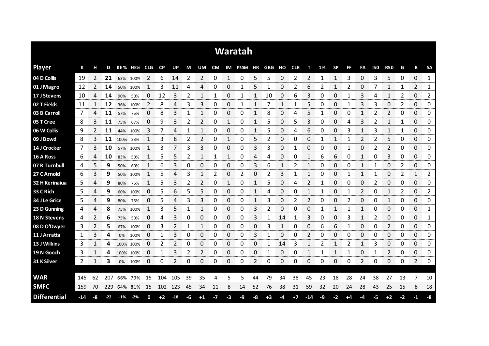|                     |     |    |       |       |             |            |           |               |    |              |      |             | Waratah                  |    |      |    |      |       |    |              |    |               |            |                     |             |                           |                             |
|---------------------|-----|----|-------|-------|-------------|------------|-----------|---------------|----|--------------|------|-------------|--------------------------|----|------|----|------|-------|----|--------------|----|---------------|------------|---------------------|-------------|---------------------------|-----------------------------|
| <b>Player</b>       | К   | н  | D     |       | KE% HE% CLG |            | <b>CP</b> | UP            | М  | UM           |      |             | CM IM F50M HR GBG HO CLR |    |      |    |      | т     | 1% | <b>SP</b>    | FF | FA            | <b>I50</b> | <b>R50</b>          | G           | В                         | <b>SA</b>                   |
| 04 D Collis         | 19  | 2  | 21    |       | 63% 100%    | 2          | 6         | 14            | 2  | 2            | 0    |             | 0                        | 5  | 5    | 0  | 2    | 2     | 1  | 1            | 3  | 0             | 3          | 5                   | 0           | 0                         | 1                           |
| 01 J Magro          | 12  |    | 14    | 50%   | 100%        |            | 3         | 11            | 4  | 4            | 0    | 0           |                          | 5  |      | 0  | 2    | 6     | 2  | 1            | 2  | 0             |            | 1                   | 1           | 2                         | 1                           |
| 17 J Stevens        | 10  | 4  | 14    | 90%   | 50%         | 0          | 12        | 3             | 2  | 1            | 1    | 0           |                          |    | 10   | 0  | 6    | 3     | 0  | 0            |    | 3             | 4          | 1                   | 2           | 0                         | 2                           |
| 02 T Fields         | 11  |    | 12    | 36%   | 100%        | 2          | 8         | 4             | 3  | 3            | 0    | 0           |                          |    |      | 1  |      | 5     | 0  | 0            |    | 3             | 3          | 0                   | 2           | 0                         | 0                           |
| 03 B Carroll        | 7   | 4  | 11    | 57%   | 75%         | $\Omega$   | 8         | 3             | 1  | $\mathbf{1}$ | 0    | $\Omega$    | 0                        |    | 8    | 0  | 4    | 5     | 1  | 0            | 0  | $\mathbf{1}$  | 2          | $\overline{2}$      | 0           | 0                         | 0                           |
| 05 T Cree           | 8   | 3  | 11    | 75%   | 67%         | 0          | 9         | 3             | 2  | 2            | 0    | 1           | 0                        | 1  | 5    | 0  | 5    | 3     | 0  | 0            | 4  | 3             | 2          | 1                   | 1           | 0                         | 0                           |
| 06 W Collis         | 9   | 2  | 11    | 44%   | 100%        | 3          | 7         | 4             | 1  | 1            | 0    | 0           | 0                        | 1  | 5    | 0  | 4    | 6     | 0  | 0            | 3  | 1             | 3          | 1                   | 1           | 0                         | 0                           |
| 09 J Bowd           | 8   | 3  | 11    | 100%  | 33%         | 1          | 3         | 8             | 2  | 2            | 0    | 1           | 0                        | 5  | 2    | 0  | 0    | 0     | 1  | 1            | 1  | 2             | 2          | 5                   | 0           | 0                         | 0                           |
| 14 J Crocker        | 7   | 3  | 10    | 57%   | 100%        | 1          | 3         | 7             | 3  | 3            | 0    | 0           | 0                        | 3  | 3    | 0  | 1    | 0     | 0  | 0            | 1  | 0             | 2          | $\overline{2}$      | 0           | 0                         | 0                           |
| 16 A Ross           | 6   | 4  | 10    | 83%   | 50%         | 1          | 5         | 5             | 2  | 1            | 1    | 1           | 0                        | 4  | 4    | 0  | 0    | 1     | 6  | 6            | 0  | 1             | 0          | 3                   | 0           | 0                         | 0                           |
| 07 R Turnbull       | 4   | 5  | 9     | 50%   | 60%         | 1          | 6         | 3             | 0  | 0            | 0    | 0           | 0                        | 3  | 6    | 1  | 2    | 1     | 0  | 0            | 0  | 1             |            | 0                   | 2           | 0                         | 0                           |
| 27 C Arnold         | 6   | 3  | 9     | 50%   | 100%        |            | 5         | 4             | 3  | 1            | 2    | 0           | 2                        | 0  | 2    | 3  |      | 1     | 0  | 0            | 1  | 1             |            | 0                   | 2           | 1                         | 2                           |
| 32 H Kerinaiua      | 5   | 4  | 9     | 80%   | 75%         | 1          | 5         | 3             | 2  | 2            | 0    | 1           | 0                        | 1  | 5    | 0  | 4    | 2     | 1  | 0            | 0  | 0             | 2          | 0                   | 0           | 0                         | 0                           |
| 33 C Rich           | 5   | 4  | 9     | 60%   | 100%        | 0          | 5         | 6             | 5  | 5            | 0    | 0           | 0                        |    | 4    | 0  | O    | 1     | 1  | 0            |    | $\mathcal{P}$ | 0          | 1                   | 2           | 0                         | 2<br><b>TOTAL CO</b>        |
| 34 J Le Grice       | 5   | 4  | 9     | 80%   | 75%         | 0          | 5         | 4             | 3  | 3            | 0    | ი           | 0                        |    | 3    | 0  | 2    | 2     | 0  | 0            | 2  | 0             | 0          | 1                   | 0           | 0<br>ana manana           | 0<br><b>Service Control</b> |
| 23 D Gunning        | 4   | 4  | 8     | 75%   | 100%        | ---------- | 3         |               |    |              | 0    | 0<br>anana. | 0                        | 3  |      | 0  | Ω    | 0     |    |              |    |               | U          | 0                   | 0<br>anana. | 0<br><b>TOTAL CONTROL</b> | 1<br>manan n                |
| <b>18 N Stevens</b> | 4   | 2  | 6     | 75%   | 50%         | 0          | 4         | 3             | 0  | 0            | 0    | 0           | 0                        | 3  | 1    | 14 | 1    | 3     | 0  | 0            | 3  | 1             | 2          | 0<br><b>Seconds</b> | 0           | 0                         | 1<br>ana ana                |
| 08 D O'Dwyer        | 3   | 2  | 5     | 67%   | 100%        | 0          | 3         |               |    | 1            | 0    | 0           | 0                        | 0  | 3    | 1  | O    | 0     | 6  | 6            |    | 0             | O          | 2                   | 0           | 0                         | 0                           |
| 11 J Arratta        | 1   | 3  | 4     | 0%    | 100%        | 0          | 1         | 3             | 0  | 0            | 0    | 0           | 0                        | 3  |      | 0  | O    | 2     | O  | 0            | 0  | 0             | O          | 0                   | 0           | 0                         | 0                           |
| 13 J Wilkins        | 3   |    | 4     |       | 100% 100%   | 0          | 2         | 2             | 0  | 0            | 0    | 0           | 0                        | 0  |      | 14 | 3    | 1     | 2  | 1            | 2  | 1             | 3          | 0                   | 0           | 0                         | 0                           |
| 19 N Gooch          | 3   | 1  | 4     |       | 100% 100%   | 0          | 1         | 3             | 2  | 2            | 0    | 0           | 0                        | 0  | 1    | 0  | 0    | 1     | 1  | $\mathbf{1}$ | 1  | 0             | 1          | 2                   | 0           | 0                         | 0                           |
| 31 K Silver         | 2   | 1  | 3     |       | 0% 100%     | 0          | 0         | $\mathcal{P}$ | 0  | 0            | 0    | 0           | 0                        | 2  | 0    | 0  | 0    | 0     | 0  | 0            | 0  | 2             | 0          | 0                   | 0           | 2                         | 0                           |
|                     |     |    |       |       |             |            |           |               |    |              |      |             |                          |    |      |    |      |       |    |              |    |               |            |                     |             |                           |                             |
| <b>WAR</b>          | 145 | 62 | 207   | 66%   | 79%         | 15         | 104       | 105           | 39 | 35           | 4    | 5           | 5                        | 44 | 79   | 34 | 38   | 45    | 23 | 18           | 28 | 24            | 38         | 27                  | 13          | 7                         | 10                          |
| <b>SMFC</b>         | 159 | 70 | 229   |       | 64% 81%     | 15         | 102       | 123           | 45 | 34           | 11   | 8           | 14                       | 52 | 76   | 38 | 31   | 59    | 32 | 20           | 24 | 28            | 43         | 25                  | 15          | 8                         | 18                          |
| <b>Differential</b> | -14 | -8 | $-22$ | $+1%$ | $-2%$       | 0          | $+2$      | $-18$         | -6 | $^{\bf +1}$  | $-7$ | -3          | -9                       | -8 | $+3$ | -4 | $+7$ | $-14$ | -9 | -2           | +4 | -4            | -5         | $+2$                | -2          | $-1$                      | -8                          |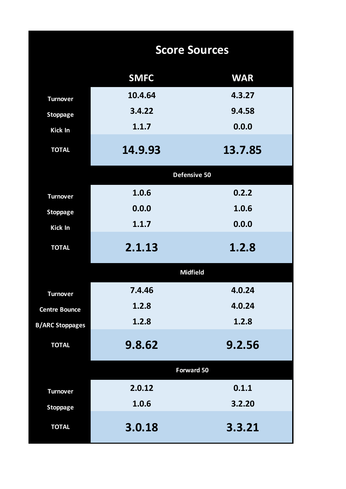|                        | <b>Score Sources</b> |            |
|------------------------|----------------------|------------|
|                        | <b>SMFC</b>          | <b>WAR</b> |
| <b>Turnover</b>        | 10.4.64              | 4.3.27     |
| <b>Stoppage</b>        | 3.4.22               | 9.4.58     |
| <b>Kick In</b>         | 1.1.7                | 0.0.0      |
| <b>TOTAL</b>           | 14.9.93              | 13.7.85    |
|                        | Defensive 50         |            |
| <b>Turnover</b>        | 1.0.6                | 0.2.2      |
| <b>Stoppage</b>        | 0.0.0                | 1.0.6      |
| Kick In                | 1.1.7                | 0.0.0      |
| <b>TOTAL</b>           | 2.1.13               | 1.2.8      |
|                        | <b>Midfield</b>      |            |
| <b>Turnover</b>        | 7.4.46               | 4.0.24     |
| <b>Centre Bounce</b>   | 1.2.8                | 4.0.24     |
| <b>B/ARC Stoppages</b> | 1.2.8                | 1.2.8      |
| <b>TOTAL</b>           | 9.8.62               | 9.2.56     |
|                        | <b>Forward 50</b>    |            |
| <b>Turnover</b>        | 2.0.12               | 0.1.1      |
| <b>Stoppage</b>        | 1.0.6                | 3.2.20     |
| <b>TOTAL</b>           | 3.0.18               | 3.3.21     |